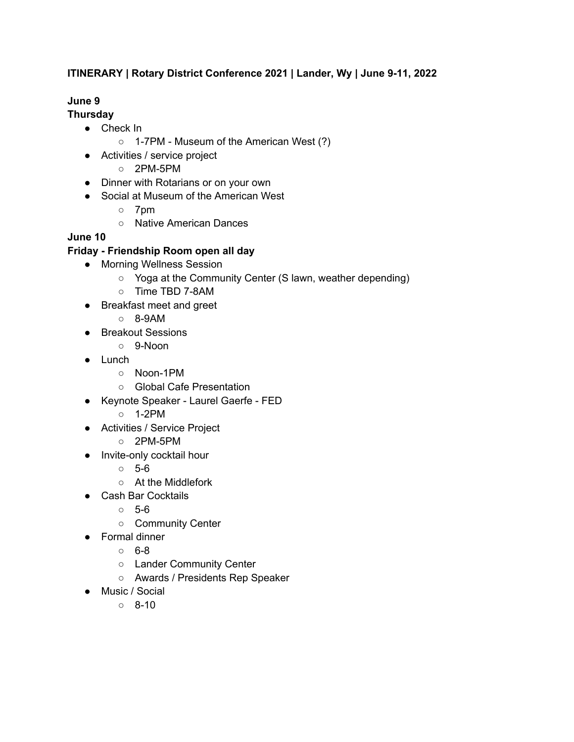# **ITINERARY | Rotary District Conference 2021 | Lander, Wy | June 9-11, 2022**

# **June 9**

#### **Thursday**

- Check In
	- 1-7PM Museum of the American West (?)
- Activities / service project
	- 2PM-5PM
- Dinner with Rotarians or on your own
- Social at Museum of the American West
	- 7pm
	- Native American Dances

### **June 10**

### **Friday - Friendship Room open all day**

- Morning Wellness Session
	- Yoga at the Community Center (S lawn, weather depending)
	- Time TBD 7-8AM
- Breakfast meet and greet
	- 8-9AM
- Breakout Sessions
	- 9-Noon
- Lunch
	- Noon-1PM
	- Global Cafe Presentation
- Keynote Speaker Laurel Gaerfe FED
	- 1-2PM
- Activities / Service Project
	- 2PM-5PM
- Invite-only cocktail hour
	- $\circ$  5-6
	- At the Middlefork
- Cash Bar Cocktails
	- 5-6
	- Community Center
- Formal dinner
	- $\circ$  6-8
	- Lander Community Center
	- Awards / Presidents Rep Speaker
- Music / Social
	- $0 8-10$